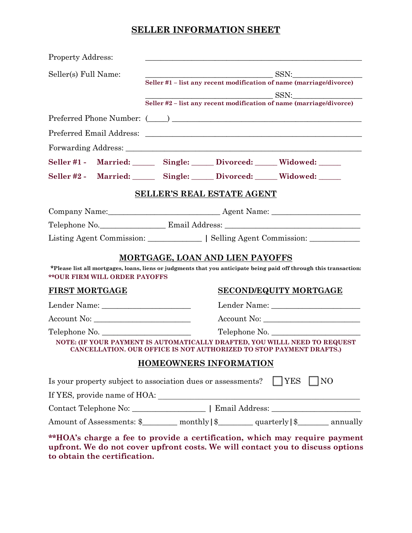# **SELLER INFORMATION SHEET**

| <b>Property Address:</b>              |                                                                                                                                                              |
|---------------------------------------|--------------------------------------------------------------------------------------------------------------------------------------------------------------|
| Seller(s) Full Name:                  | SSN:<br>Seller #1 – list any recent modification of name (marriage/divorce)                                                                                  |
|                                       | SSN:<br>Seller #2 – list any recent modification of name (marriage/divorce)                                                                                  |
|                                       |                                                                                                                                                              |
|                                       |                                                                                                                                                              |
|                                       |                                                                                                                                                              |
|                                       | Seller #1 - Married: Single: Divorced: Widowed: ____                                                                                                         |
|                                       | Seller #2 - Married: Single: Divorced: Widowed: ___                                                                                                          |
|                                       |                                                                                                                                                              |
|                                       | <b>SELLER'S REAL ESTATE AGENT</b>                                                                                                                            |
|                                       |                                                                                                                                                              |
|                                       |                                                                                                                                                              |
|                                       | Listing Agent Commission: <u>_____________</u>   Selling Agent Commission: ___________                                                                       |
|                                       |                                                                                                                                                              |
| <b>** OUR FIRM WILL ORDER PAYOFFS</b> | <b>MORTGAGE, LOAN AND LIEN PAYOFFS</b><br>*Please list all mortgages, loans, liens or judgments that you anticipate being paid off through this transaction: |
| <b>FIRST MORTGAGE</b>                 | <b>SECOND/EQUITY MORTGAGE</b>                                                                                                                                |
|                                       |                                                                                                                                                              |
| Account No:                           |                                                                                                                                                              |
| Telephone No.                         | Telephone No.                                                                                                                                                |
|                                       | NOTE: (IF YOUR PAYMENT IS AUTOMATICALLY DRAFTED, YOU WILLL NEED TO REQUEST<br>CANCELLATION. OUR OFFICE IS NOT AUTHORIZED TO STOP PAYMENT DRAFTS.)            |
|                                       | <b>HOMEOWNERS INFORMATION</b>                                                                                                                                |
|                                       | $\Box$ YES<br>$\overline{N}$<br>Is your property subject to association dues or assessments?                                                                 |
|                                       |                                                                                                                                                              |
|                                       |                                                                                                                                                              |
|                                       | Amount of Assessments: \$_______ monthly   \$_______ quarterly   \$______ annually                                                                           |

**to obtain the certification.**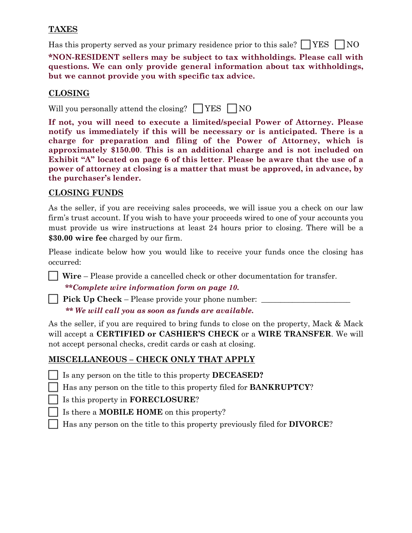### **TAXES**

Has this property served as your primary residence prior to this sale?  $\Box$  YES  $\Box$  NO

**\*NON-RESIDENT sellers may be subject to tax withholdings. Please call with questions. We can only provide general information about tax withholdings, but we cannot provide you with specific tax advice.**

## **CLOSING**

Will you personally attend the closing?  $\Box$  YES  $\Box$  NO

**If not, you will need to execute a limited/special Power of Attorney. Please notify us immediately if this will be necessary or is anticipated. There is a charge for preparation and filing of the Power of Attorney, which is approximately \$150.00**. **This is an additional charge and is not included on Exhibit "A" located on page 6 of this letter**. **Please be aware that the use of a power of attorney at closing is a matter that must be approved, in advance, by the purchaser's lender.**

### **CLOSING FUNDS**

As the seller, if you are receiving sales proceeds, we will issue you a check on our law firm's trust account. If you wish to have your proceeds wired to one of your accounts you must provide us wire instructions at least 24 hours prior to closing. There will be a **\$30.00 wire fee** charged by our firm.

Please indicate below how you would like to receive your funds once the closing has occurred:

**Wire** – Please provide a cancelled check or other documentation for transfer.

**\*\****Complete wire information form on page 10.*

**Pick Up Check** – Please provide your phone number:  *\*\* We will call you as soon as funds are available.*

As the seller, if you are required to bring funds to close on the property, Mack & Mack will accept a **CERTIFIED or CASHIER'S CHECK** or a **WIRE TRANSFER**. We will not accept personal checks, credit cards or cash at closing.

### **MISCELLANEOUS – CHECK ONLY THAT APPLY**

- Is any person on the title to this property **DECEASED?**
- Has any person on the title to this property filed for **BANKRUPTCY**?
- Is this property in **FORECLOSURE**?
	- Is there a **MOBILE HOME** on this property?
	- Has any person on the title to this property previously filed for **DIVORCE**?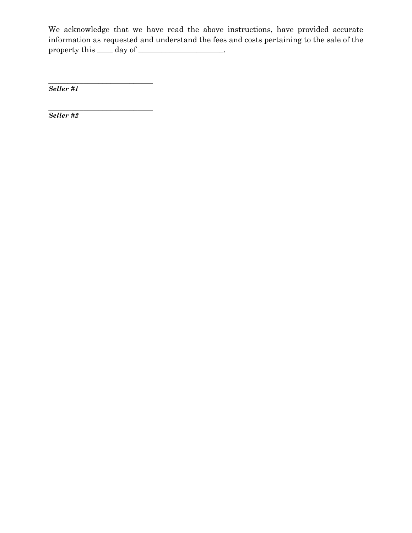We acknowledge that we have read the above instructions, have provided accurate information as requested and understand the fees and costs pertaining to the sale of the property this \_\_\_\_ day of \_\_\_\_\_\_\_\_\_\_\_\_\_\_\_\_\_\_.

\_\_\_\_\_\_\_\_\_\_\_\_\_\_\_\_\_\_\_\_\_\_\_\_\_\_\_ *Seller #1*

\_\_\_\_\_\_\_\_\_\_\_\_\_\_\_\_\_\_\_\_\_\_\_\_\_\_\_ *Seller #2*